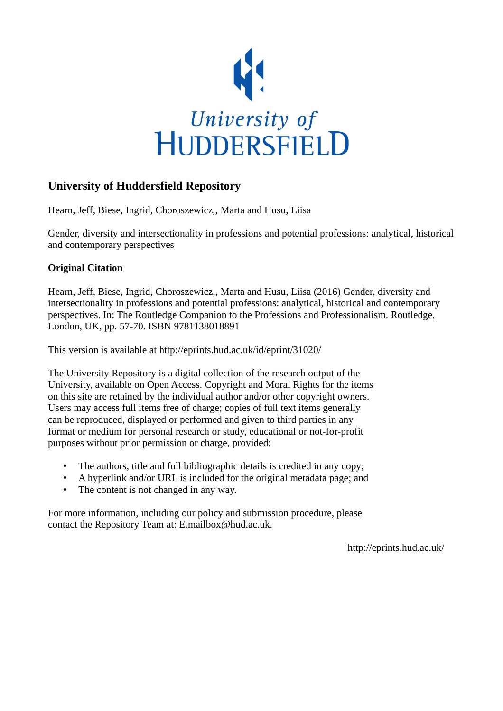

# **University of Huddersfield Repository**

Hearn, Jeff, Biese, Ingrid, Choroszewicz,, Marta and Husu, Liisa

Gender, diversity and intersectionality in professions and potential professions: analytical, historical and contemporary perspectives

# **Original Citation**

Hearn, Jeff, Biese, Ingrid, Choroszewicz,, Marta and Husu, Liisa (2016) Gender, diversity and intersectionality in professions and potential professions: analytical, historical and contemporary perspectives. In: The Routledge Companion to the Professions and Professionalism. Routledge, London, UK, pp. 57-70. ISBN 9781138018891

This version is available at http://eprints.hud.ac.uk/id/eprint/31020/

The University Repository is a digital collection of the research output of the University, available on Open Access. Copyright and Moral Rights for the items on this site are retained by the individual author and/or other copyright owners. Users may access full items free of charge; copies of full text items generally can be reproduced, displayed or performed and given to third parties in any format or medium for personal research or study, educational or not-for-profit purposes without prior permission or charge, provided:

- The authors, title and full bibliographic details is credited in any copy;
- A hyperlink and/or URL is included for the original metadata page; and
- The content is not changed in any way.

For more information, including our policy and submission procedure, please contact the Repository Team at: E.mailbox@hud.ac.uk.

http://eprints.hud.ac.uk/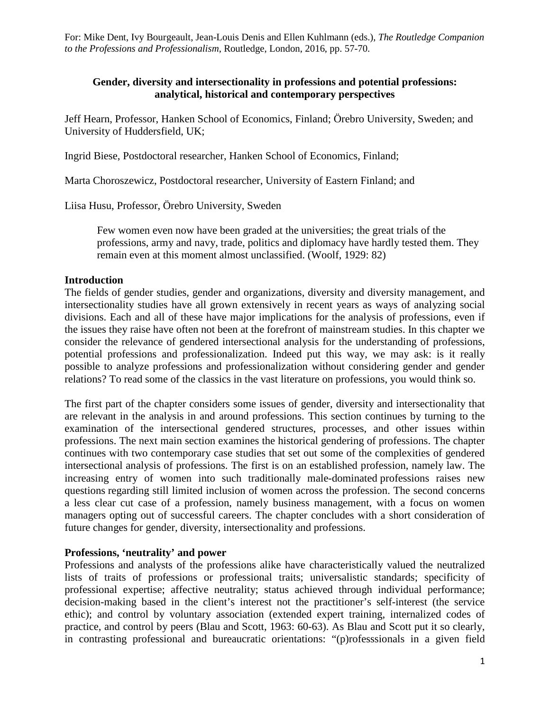# **Gender, diversity and intersectionality in professions and potential professions: analytical, historical and contemporary perspectives**

Jeff Hearn, Professor, Hanken School of Economics, Finland; Örebro University, Sweden; and University of Huddersfield, UK;

Ingrid Biese, Postdoctoral researcher, Hanken School of Economics, Finland;

Marta Choroszewicz, Postdoctoral researcher, University of Eastern Finland; and

Liisa Husu, Professor, Örebro University, Sweden

Few women even now have been graded at the universities; the great trials of the professions, army and navy, trade, politics and diplomacy have hardly tested them. They remain even at this moment almost unclassified. (Woolf, 1929: 82)

# **Introduction**

The fields of gender studies, gender and organizations, diversity and diversity management, and intersectionality studies have all grown extensively in recent years as ways of analyzing social divisions. Each and all of these have major implications for the analysis of professions, even if the issues they raise have often not been at the forefront of mainstream studies. In this chapter we consider the relevance of gendered intersectional analysis for the understanding of professions, potential professions and professionalization. Indeed put this way, we may ask: is it really possible to analyze professions and professionalization without considering gender and gender relations? To read some of the classics in the vast literature on professions, you would think so.

The first part of the chapter considers some issues of gender, diversity and intersectionality that are relevant in the analysis in and around professions. This section continues by turning to the examination of the intersectional gendered structures, processes, and other issues within professions. The next main section examines the historical gendering of professions. The chapter continues with two contemporary case studies that set out some of the complexities of gendered intersectional analysis of professions. The first is on an established profession, namely law. The increasing entry of women into such traditionally male-dominated professions raises new questions regarding still limited inclusion of women across the profession. The second concerns a less clear cut case of a profession, namely business management, with a focus on women managers opting out of successful careers. The chapter concludes with a short consideration of future changes for gender, diversity, intersectionality and professions.

#### **Professions, 'neutrality' and power**

Professions and analysts of the professions alike have characteristically valued the neutralized lists of traits of professions or professional traits; universalistic standards; specificity of professional expertise; affective neutrality; status achieved through individual performance; decision-making based in the client's interest not the practitioner's self-interest (the service ethic); and control by voluntary association (extended expert training, internalized codes of practice, and control by peers (Blau and Scott, 1963: 60-63). As Blau and Scott put it so clearly, in contrasting professional and bureaucratic orientations: "(p)rofesssionals in a given field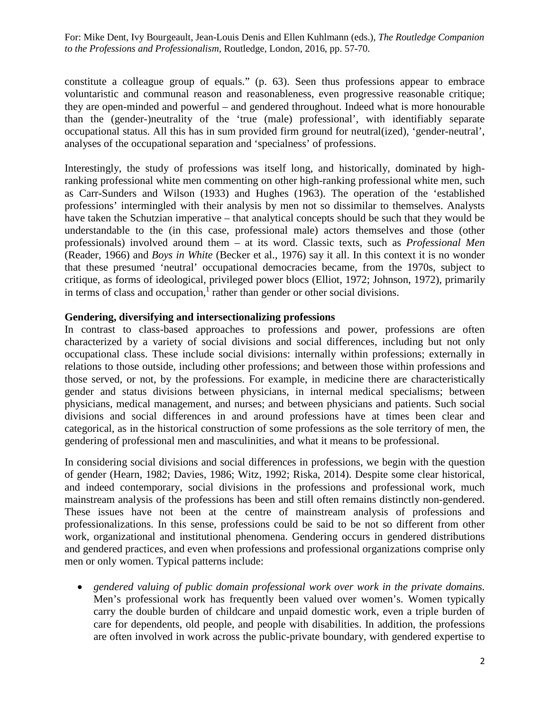constitute a colleague group of equals." (p. 63). Seen thus professions appear to embrace voluntaristic and communal reason and reasonableness, even progressive reasonable critique; they are open-minded and powerful – and gendered throughout. Indeed what is more honourable than the (gender-)neutrality of the 'true (male) professional', with identifiably separate occupational status. All this has in sum provided firm ground for neutral(ized), 'gender-neutral', analyses of the occupational separation and 'specialness' of professions.

Interestingly, the study of professions was itself long, and historically, dominated by highranking professional white men commenting on other high-ranking professional white men, such as Carr-Sunders and Wilson (1933) and Hughes (1963). The operation of the 'established professions' intermingled with their analysis by men not so dissimilar to themselves. Analysts have taken the Schutzian imperative – that analytical concepts should be such that they would be understandable to the (in this case, professional male) actors themselves and those (other professionals) involved around them – at its word. Classic texts, such as *Professional Men*  (Reader, 1966) and *Boys in White* (Becker et al., 1976) say it all. In this context it is no wonder that these presumed 'neutral' occupational democracies became, from the 1970s, subject to critique, as forms of ideological, privileged power blocs (Elliot, 1972; Johnson, 1972), primarily in terms of class and occupation, $<sup>1</sup>$  rather than gender or other social divisions.</sup>

#### **Gendering, diversifying and intersectionalizing professions**

In contrast to class-based approaches to professions and power, professions are often characterized by a variety of social divisions and social differences, including but not only occupational class. These include social divisions: internally within professions; externally in relations to those outside, including other professions; and between those within professions and those served, or not, by the professions. For example, in medicine there are characteristically gender and status divisions between physicians, in internal medical specialisms; between physicians, medical management, and nurses; and between physicians and patients. Such social divisions and social differences in and around professions have at times been clear and categorical, as in the historical construction of some professions as the sole territory of men, the gendering of professional men and masculinities, and what it means to be professional.

In considering social divisions and social differences in professions, we begin with the question of gender (Hearn, 1982; Davies, 1986; Witz, 1992; Riska, 2014). Despite some clear historical, and indeed contemporary, social divisions in the professions and professional work, much mainstream analysis of the professions has been and still often remains distinctly non-gendered. These issues have not been at the centre of mainstream analysis of professions and professionalizations. In this sense, professions could be said to be not so different from other work, organizational and institutional phenomena. Gendering occurs in gendered distributions and gendered practices, and even when professions and professional organizations comprise only men or only women. Typical patterns include:

• *gendered valuing of public domain professional work over work in the private domains.*  Men's professional work has frequently been valued over women's. Women typically carry the double burden of childcare and unpaid domestic work, even a triple burden of care for dependents, old people, and people with disabilities. In addition, the professions are often involved in work across the public-private boundary, with gendered expertise to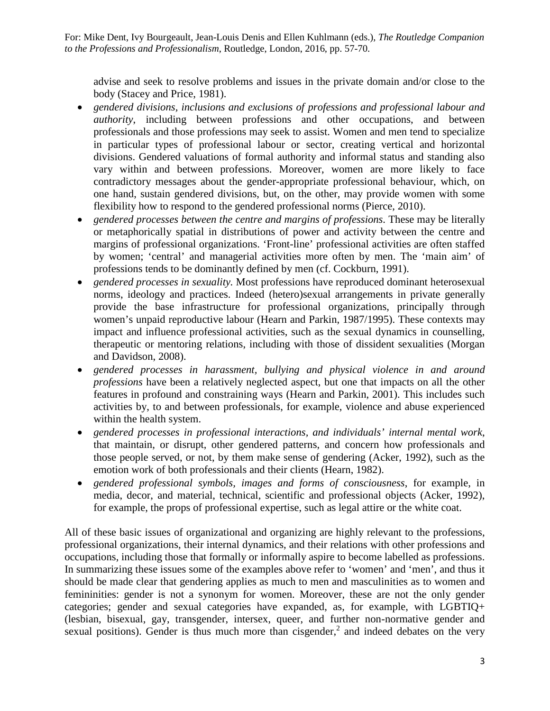advise and seek to resolve problems and issues in the private domain and/or close to the body (Stacey and Price, 1981).

- *gendered divisions, inclusions and exclusions of professions and professional labour and authority*, including between professions and other occupations, and between professionals and those professions may seek to assist. Women and men tend to specialize in particular types of professional labour or sector, creating vertical and horizontal divisions. Gendered valuations of formal authority and informal status and standing also vary within and between professions. Moreover, women are more likely to face contradictory messages about the gender-appropriate professional behaviour, which, on one hand, sustain gendered divisions, but, on the other, may provide women with some flexibility how to respond to the gendered professional norms (Pierce, 2010).
- *gendered processes between the centre and margins of professions*. These may be literally or metaphorically spatial in distributions of power and activity between the centre and margins of professional organizations. 'Front-line' professional activities are often staffed by women; 'central' and managerial activities more often by men. The 'main aim' of professions tends to be dominantly defined by men (cf. Cockburn, 1991).
- *gendered processes in sexuality.* Most professions have reproduced dominant heterosexual norms, ideology and practices. Indeed (hetero)sexual arrangements in private generally provide the base infrastructure for professional organizations, principally through women's unpaid reproductive labour (Hearn and Parkin, 1987/1995). These contexts may impact and influence professional activities, such as the sexual dynamics in counselling, therapeutic or mentoring relations, including with those of dissident sexualities (Morgan and Davidson, 2008).
- *gendered processes in harassment, bullying and physical violence in and around professions* have been a relatively neglected aspect, but one that impacts on all the other features in profound and constraining ways (Hearn and Parkin, 2001). This includes such activities by, to and between professionals, for example, violence and abuse experienced within the health system.
- *gendered processes in professional interactions, and individuals' internal mental work*, that maintain, or disrupt, other gendered patterns, and concern how professionals and those people served, or not, by them make sense of gendering (Acker, 1992), such as the emotion work of both professionals and their clients (Hearn, 1982).
- *gendered professional symbols, images and forms of consciousness*, for example, in media, decor, and material, technical, scientific and professional objects (Acker, 1992), for example, the props of professional expertise, such as legal attire or the white coat.

All of these basic issues of organizational and organizing are highly relevant to the professions, professional organizations, their internal dynamics, and their relations with other professions and occupations, including those that formally or informally aspire to become labelled as professions. In summarizing these issues some of the examples above refer to 'women' and 'men', and thus it should be made clear that gendering applies as much to men and masculinities as to women and femininities: gender is not a synonym for women. Moreover, these are not the only gender categories; gender and sexual categories have expanded, as, for example, with LGBTIQ+ (lesbian, bisexual, gay, transgender, intersex, queer, and further non-normative gender and sexual positions). Gender is thus much more than cisgender,<sup>2</sup> and indeed debates on the very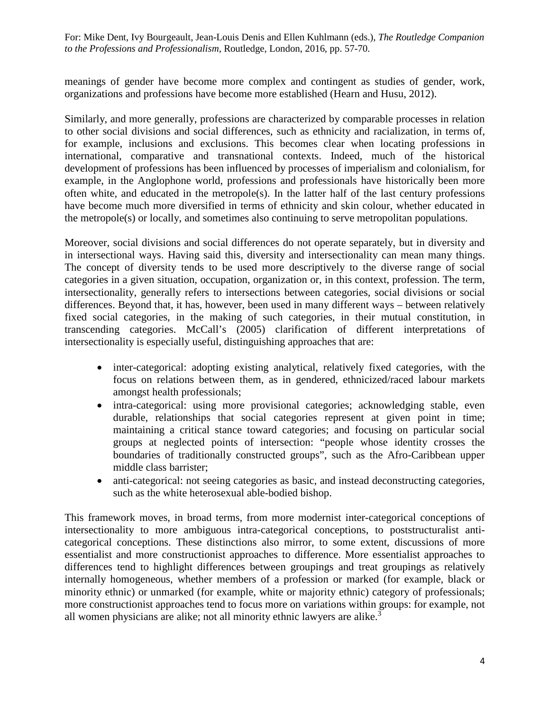meanings of gender have become more complex and contingent as studies of gender, work, organizations and professions have become more established (Hearn and Husu, 2012).

Similarly, and more generally, professions are characterized by comparable processes in relation to other social divisions and social differences, such as ethnicity and racialization, in terms of, for example, inclusions and exclusions. This becomes clear when locating professions in international, comparative and transnational contexts. Indeed, much of the historical development of professions has been influenced by processes of imperialism and colonialism, for example, in the Anglophone world, professions and professionals have historically been more often white, and educated in the metropole(s). In the latter half of the last century professions have become much more diversified in terms of ethnicity and skin colour, whether educated in the metropole(s) or locally, and sometimes also continuing to serve metropolitan populations.

Moreover, social divisions and social differences do not operate separately, but in diversity and in intersectional ways. Having said this, diversity and intersectionality can mean many things. The concept of diversity tends to be used more descriptively to the diverse range of social categories in a given situation, occupation, organization or, in this context, profession. The term, intersectionality, generally refers to intersections between categories, social divisions or social differences. Beyond that, it has, however, been used in many different ways – between relatively fixed social categories, in the making of such categories, in their mutual constitution, in transcending categories. McCall's (2005) clarification of different interpretations of intersectionality is especially useful, distinguishing approaches that are:

- inter-categorical: adopting existing analytical, relatively fixed categories, with the focus on relations between them, as in gendered, ethnicized/raced labour markets amongst health professionals;
- intra-categorical: using more provisional categories; acknowledging stable, even durable, relationships that social categories represent at given point in time; maintaining a critical stance toward categories; and focusing on particular social groups at neglected points of intersection: "people whose identity crosses the boundaries of traditionally constructed groups", such as the Afro-Caribbean upper middle class barrister;
- anti-categorical: not seeing categories as basic, and instead deconstructing categories, such as the white heterosexual able-bodied bishop.

This framework moves, in broad terms, from more modernist inter-categorical conceptions of intersectionality to more ambiguous intra-categorical conceptions, to poststructuralist anticategorical conceptions. These distinctions also mirror, to some extent, discussions of more essentialist and more constructionist approaches to difference. More essentialist approaches to differences tend to highlight differences between groupings and treat groupings as relatively internally homogeneous, whether members of a profession or marked (for example, black or minority ethnic) or unmarked (for example, white or majority ethnic) category of professionals; more constructionist approaches tend to focus more on variations within groups: for example, not all women physicians are alike; not all minority ethnic lawyers are alike. $3$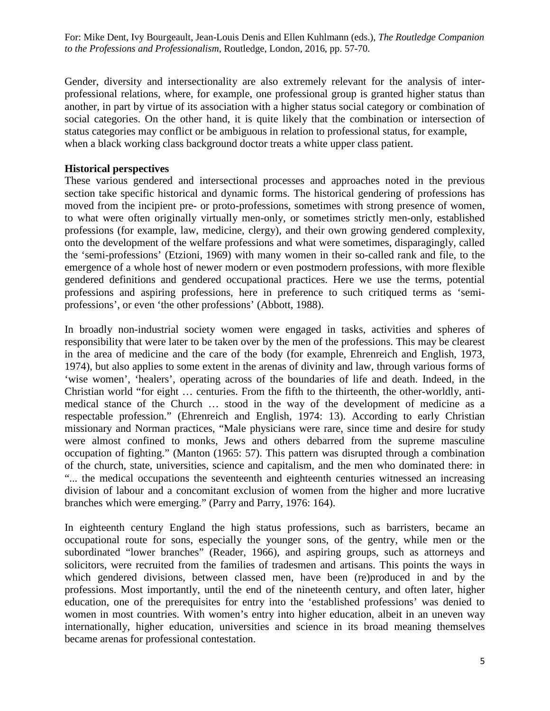Gender, diversity and intersectionality are also extremely relevant for the analysis of interprofessional relations, where, for example, one professional group is granted higher status than another, in part by virtue of its association with a higher status social category or combination of social categories. On the other hand, it is quite likely that the combination or intersection of status categories may conflict or be ambiguous in relation to professional status, for example, when a black working class background doctor treats a white upper class patient.

# **Historical perspectives**

These various gendered and intersectional processes and approaches noted in the previous section take specific historical and dynamic forms. The historical gendering of professions has moved from the incipient pre- or proto-professions, sometimes with strong presence of women, to what were often originally virtually men-only, or sometimes strictly men-only, established professions (for example, law, medicine, clergy), and their own growing gendered complexity, onto the development of the welfare professions and what were sometimes, disparagingly, called the 'semi-professions' (Etzioni, 1969) with many women in their so-called rank and file, to the emergence of a whole host of newer modern or even postmodern professions, with more flexible gendered definitions and gendered occupational practices. Here we use the terms, potential professions and aspiring professions, here in preference to such critiqued terms as 'semiprofessions', or even 'the other professions' (Abbott, 1988).

In broadly non-industrial society women were engaged in tasks, activities and spheres of responsibility that were later to be taken over by the men of the professions. This may be clearest in the area of medicine and the care of the body (for example, Ehrenreich and English, 1973, 1974), but also applies to some extent in the arenas of divinity and law, through various forms of 'wise women', 'healers', operating across of the boundaries of life and death. Indeed, in the Christian world "for eight … centuries. From the fifth to the thirteenth, the other-worldly, antimedical stance of the Church … stood in the way of the development of medicine as a respectable profession." (Ehrenreich and English, 1974: 13). According to early Christian missionary and Norman practices, "Male physicians were rare, since time and desire for study were almost confined to monks, Jews and others debarred from the supreme masculine occupation of fighting." (Manton (1965: 57). This pattern was disrupted through a combination of the church, state, universities, science and capitalism, and the men who dominated there: in "... the medical occupations the seventeenth and eighteenth centuries witnessed an increasing division of labour and a concomitant exclusion of women from the higher and more lucrative branches which were emerging." (Parry and Parry, 1976: 164).

In eighteenth century England the high status professions, such as barristers, became an occupational route for sons, especially the younger sons, of the gentry, while men or the subordinated "lower branches" (Reader, 1966), and aspiring groups, such as attorneys and solicitors, were recruited from the families of tradesmen and artisans. This points the ways in which gendered divisions, between classed men, have been (re)produced in and by the professions. Most importantly, until the end of the nineteenth century, and often later, higher education, one of the prerequisites for entry into the 'established professions' was denied to women in most countries. With women's entry into higher education, albeit in an uneven way internationally, higher education, universities and science in its broad meaning themselves became arenas for professional contestation.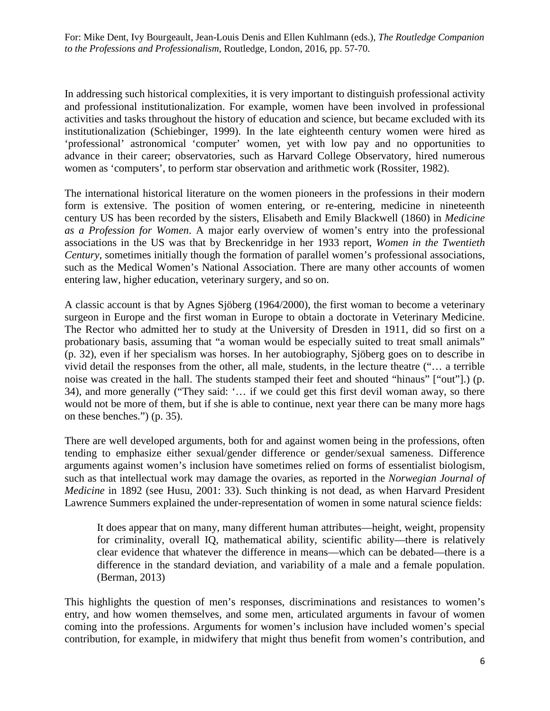In addressing such historical complexities, it is very important to distinguish professional activity and professional institutionalization. For example, women have been involved in professional activities and tasks throughout the history of education and science, but became excluded with its institutionalization (Schiebinger, 1999). In the late eighteenth century women were hired as 'professional' astronomical 'computer' women, yet with low pay and no opportunities to advance in their career; observatories, such as Harvard College Observatory, hired numerous women as 'computers', to perform star observation and arithmetic work (Rossiter, 1982).

The international historical literature on the women pioneers in the professions in their modern form is extensive. The position of women entering, or re-entering, medicine in nineteenth century US has been recorded by the sisters, Elisabeth and Emily Blackwell (1860) in *Medicine as a Profession for Women*. A major early overview of women's entry into the professional associations in the US was that by Breckenridge in her 1933 report, *Women in the Twentieth Century*, sometimes initially though the formation of parallel women's professional associations, such as the Medical Women's National Association. There are many other accounts of women entering law, higher education, veterinary surgery, and so on.

A classic account is that by Agnes Sjöberg (1964/2000), the first woman to become a veterinary surgeon in Europe and the first woman in Europe to obtain a doctorate in Veterinary Medicine. The Rector who admitted her to study at the University of Dresden in 1911, did so first on a probationary basis, assuming that "a woman would be especially suited to treat small animals" (p. 32), even if her specialism was horses. In her autobiography, Sjöberg goes on to describe in vivid detail the responses from the other, all male, students, in the lecture theatre ("… a terrible noise was created in the hall. The students stamped their feet and shouted "hinaus" ["out"].) (p. 34), and more generally ("They said: '… if we could get this first devil woman away, so there would not be more of them, but if she is able to continue, next year there can be many more hags on these benches.") (p. 35).

There are well developed arguments, both for and against women being in the professions, often tending to emphasize either sexual/gender difference or gender/sexual sameness. Difference arguments against women's inclusion have sometimes relied on forms of essentialist biologism, such as that intellectual work may damage the ovaries, as reported in the *Norwegian Journal of Medicine* in 1892 (see Husu, 2001: 33). Such thinking is not dead, as when Harvard President Lawrence Summers explained the under-representation of women in some natural science fields:

It does appear that on many, many different human attributes—height, weight, propensity for criminality, overall IQ, mathematical ability, scientific ability—there is relatively clear evidence that whatever the difference in means—which can be debated—there is a difference in the standard deviation, and variability of a male and a female population. (Berman, 2013)

This highlights the question of men's responses, discriminations and resistances to women's entry, and how women themselves, and some men, articulated arguments in favour of women coming into the professions. Arguments for women's inclusion have included women's special contribution, for example, in midwifery that might thus benefit from women's contribution, and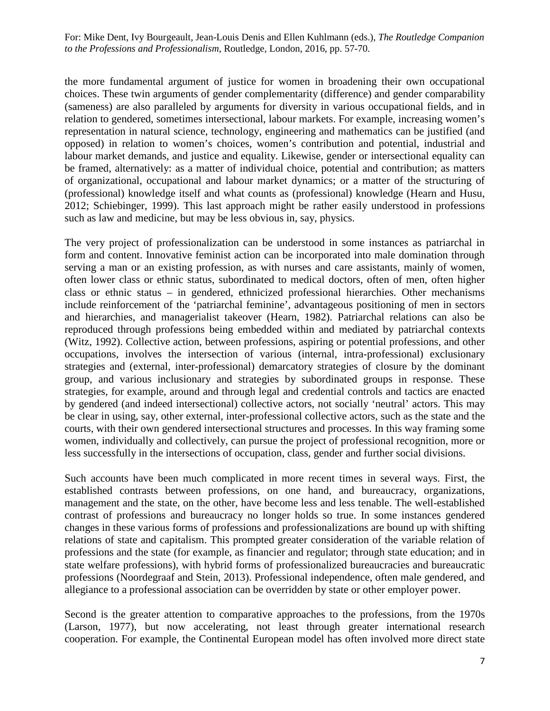the more fundamental argument of justice for women in broadening their own occupational choices. These twin arguments of gender complementarity (difference) and gender comparability (sameness) are also paralleled by arguments for diversity in various occupational fields, and in relation to gendered, sometimes intersectional, labour markets. For example, increasing women's representation in natural science, technology, engineering and mathematics can be justified (and opposed) in relation to women's choices, women's contribution and potential, industrial and labour market demands, and justice and equality. Likewise, gender or intersectional equality can be framed, alternatively: as a matter of individual choice, potential and contribution; as matters of organizational, occupational and labour market dynamics; or a matter of the structuring of (professional) knowledge itself and what counts as (professional) knowledge (Hearn and Husu, 2012; Schiebinger, 1999). This last approach might be rather easily understood in professions such as law and medicine, but may be less obvious in, say, physics.

The very project of professionalization can be understood in some instances as patriarchal in form and content. Innovative feminist action can be incorporated into male domination through serving a man or an existing profession, as with nurses and care assistants, mainly of women, often lower class or ethnic status, subordinated to medical doctors, often of men, often higher class or ethnic status – in gendered, ethnicized professional hierarchies. Other mechanisms include reinforcement of the 'patriarchal feminine', advantageous positioning of men in sectors and hierarchies, and managerialist takeover (Hearn, 1982). Patriarchal relations can also be reproduced through professions being embedded within and mediated by patriarchal contexts (Witz, 1992). Collective action, between professions, aspiring or potential professions, and other occupations, involves the intersection of various (internal, intra-professional) exclusionary strategies and (external, inter-professional) demarcatory strategies of closure by the dominant group, and various inclusionary and strategies by subordinated groups in response. These strategies, for example, around and through legal and credential controls and tactics are enacted by gendered (and indeed intersectional) collective actors, not socially 'neutral' actors. This may be clear in using, say, other external, inter-professional collective actors, such as the state and the courts, with their own gendered intersectional structures and processes. In this way framing some women, individually and collectively, can pursue the project of professional recognition, more or less successfully in the intersections of occupation, class, gender and further social divisions.

Such accounts have been much complicated in more recent times in several ways. First, the established contrasts between professions, on one hand, and bureaucracy, organizations, management and the state, on the other, have become less and less tenable. The well-established contrast of professions and bureaucracy no longer holds so true. In some instances gendered changes in these various forms of professions and professionalizations are bound up with shifting relations of state and capitalism. This prompted greater consideration of the variable relation of professions and the state (for example, as financier and regulator; through state education; and in state welfare professions), with hybrid forms of professionalized bureaucracies and bureaucratic professions (Noordegraaf and Stein, 2013). Professional independence, often male gendered, and allegiance to a professional association can be overridden by state or other employer power.

Second is the greater attention to comparative approaches to the professions, from the 1970s (Larson, 1977), but now accelerating, not least through greater international research cooperation. For example, the Continental European model has often involved more direct state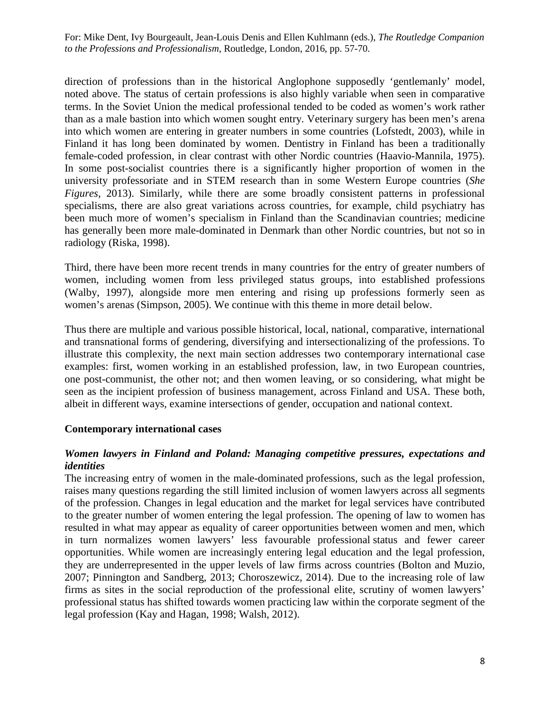direction of professions than in the historical Anglophone supposedly 'gentlemanly' model, noted above. The status of certain professions is also highly variable when seen in comparative terms. In the Soviet Union the medical professional tended to be coded as women's work rather than as a male bastion into which women sought entry. Veterinary surgery has been men's arena into which women are entering in greater numbers in some countries (Lofstedt, 2003), while in Finland it has long been dominated by women. Dentistry in Finland has been a traditionally female-coded profession, in clear contrast with other Nordic countries (Haavio-Mannila, 1975). In some post-socialist countries there is a significantly higher proportion of women in the university professoriate and in STEM research than in some Western Europe countries (*She Figures*, 2013). Similarly, while there are some broadly consistent patterns in professional specialisms, there are also great variations across countries, for example, child psychiatry has been much more of women's specialism in Finland than the Scandinavian countries; medicine has generally been more male-dominated in Denmark than other Nordic countries, but not so in radiology (Riska, 1998).

Third, there have been more recent trends in many countries for the entry of greater numbers of women, including women from less privileged status groups, into established professions (Walby, 1997), alongside more men entering and rising up professions formerly seen as women's arenas (Simpson, 2005). We continue with this theme in more detail below.

Thus there are multiple and various possible historical, local, national, comparative, international and transnational forms of gendering, diversifying and intersectionalizing of the professions. To illustrate this complexity, the next main section addresses two contemporary international case examples: first, women working in an established profession, law, in two European countries, one post-communist, the other not; and then women leaving, or so considering, what might be seen as the incipient profession of business management, across Finland and USA. These both, albeit in different ways, examine intersections of gender, occupation and national context.

#### **Contemporary international cases**

# *Women lawyers in Finland and Poland: Managing competitive pressures, expectations and identities*

The increasing entry of women in the male-dominated professions, such as the legal profession, raises many questions regarding the still limited inclusion of women lawyers across all segments of the profession. Changes in legal education and the market for legal services have contributed to the greater number of women entering the legal profession. The opening of law to women has resulted in what may appear as equality of career opportunities between women and men, which in turn normalizes women lawyers' less favourable professional status and fewer career opportunities. While women are increasingly entering legal education and the legal profession, they are underrepresented in the upper levels of law firms across countries (Bolton and Muzio, 2007; Pinnington and Sandberg, 2013; Choroszewicz, 2014). Due to the increasing role of law firms as sites in the social reproduction of the professional elite, scrutiny of women lawyers' professional status has shifted towards women practicing law within the corporate segment of the legal profession (Kay and Hagan, 1998; Walsh, 2012).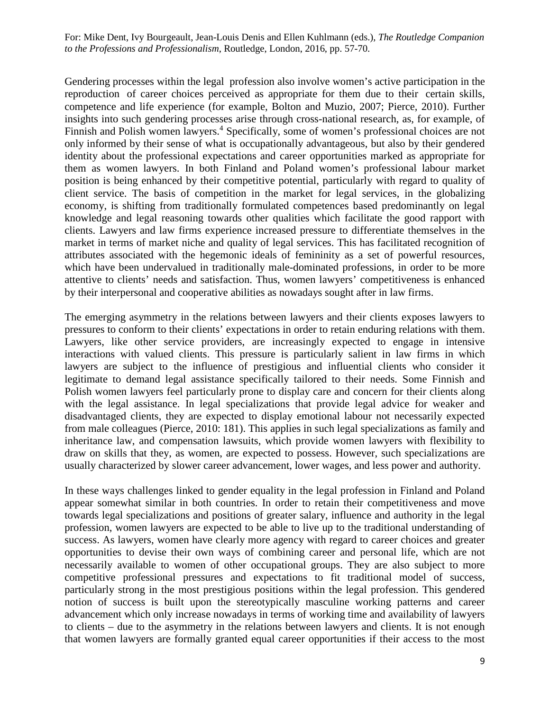Gendering processes within the legal profession also involve women's active participation in the reproduction of career choices perceived as appropriate for them due to their certain skills, competence and life experience (for example, Bolton and Muzio, 2007; Pierce, 2010). Further insights into such gendering processes arise through cross-national research, as, for example, of Finnish and Polish women lawyers. <sup>4</sup> Specifically, some of women's professional choices are not only informed by their sense of what is occupationally advantageous, but also by their gendered identity about the professional expectations and career opportunities marked as appropriate for them as women lawyers. In both Finland and Poland women's professional labour market position is being enhanced by their competitive potential, particularly with regard to quality of client service. The basis of competition in the market for legal services, in the globalizing economy, is shifting from traditionally formulated competences based predominantly on legal knowledge and legal reasoning towards other qualities which facilitate the good rapport with clients. Lawyers and law firms experience increased pressure to differentiate themselves in the market in terms of market niche and quality of legal services. This has facilitated recognition of attributes associated with the hegemonic ideals of femininity as a set of powerful resources, which have been undervalued in traditionally male-dominated professions, in order to be more attentive to clients' needs and satisfaction. Thus, women lawyers' competitiveness is enhanced by their interpersonal and cooperative abilities as nowadays sought after in law firms.

The emerging asymmetry in the relations between lawyers and their clients exposes lawyers to pressures to conform to their clients' expectations in order to retain enduring relations with them. Lawyers, like other service providers, are increasingly expected to engage in intensive interactions with valued clients. This pressure is particularly salient in law firms in which lawyers are subject to the influence of prestigious and influential clients who consider it legitimate to demand legal assistance specifically tailored to their needs. Some Finnish and Polish women lawyers feel particularly prone to display care and concern for their clients along with the legal assistance. In legal specializations that provide legal advice for weaker and disadvantaged clients, they are expected to display emotional labour not necessarily expected from male colleagues (Pierce, 2010: 181). This applies in such legal specializations as family and inheritance law, and compensation lawsuits, which provide women lawyers with flexibility to draw on skills that they, as women, are expected to possess. However, such specializations are usually characterized by slower career advancement, lower wages, and less power and authority.

In these ways challenges linked to gender equality in the legal profession in Finland and Poland appear somewhat similar in both countries. In order to retain their competitiveness and move towards legal specializations and positions of greater salary, influence and authority in the legal profession, women lawyers are expected to be able to live up to the traditional understanding of success. As lawyers, women have clearly more agency with regard to career choices and greater opportunities to devise their own ways of combining career and personal life, which are not necessarily available to women of other occupational groups. They are also subject to more competitive professional pressures and expectations to fit traditional model of success, particularly strong in the most prestigious positions within the legal profession. This gendered notion of success is built upon the stereotypically masculine working patterns and career advancement which only increase nowadays in terms of working time and availability of lawyers to clients – due to the asymmetry in the relations between lawyers and clients. It is not enough that women lawyers are formally granted equal career opportunities if their access to the most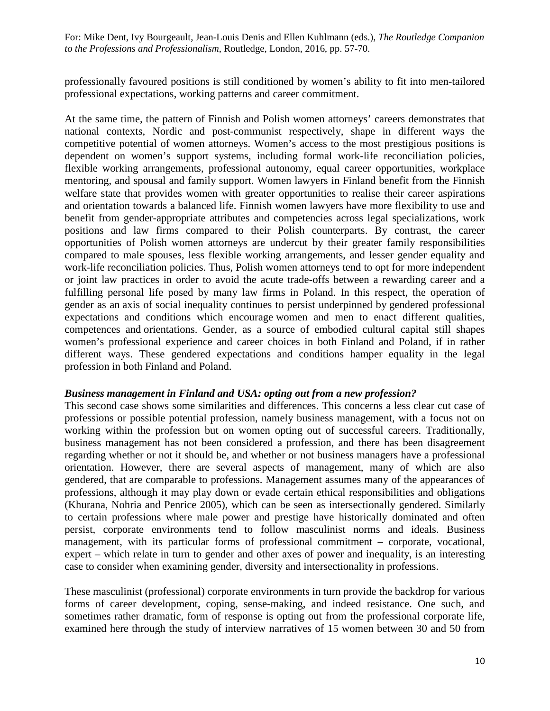professionally favoured positions is still conditioned by women's ability to fit into men-tailored professional expectations, working patterns and career commitment.

At the same time, the pattern of Finnish and Polish women attorneys' careers demonstrates that national contexts, Nordic and post-communist respectively, shape in different ways the competitive potential of women attorneys. Women's access to the most prestigious positions is dependent on women's support systems, including formal work-life reconciliation policies, flexible working arrangements, professional autonomy, equal career opportunities, workplace mentoring, and spousal and family support. Women lawyers in Finland benefit from the Finnish welfare state that provides women with greater opportunities to realise their career aspirations and orientation towards a balanced life. Finnish women lawyers have more flexibility to use and benefit from gender-appropriate attributes and competencies across legal specializations, work positions and law firms compared to their Polish counterparts. By contrast, the career opportunities of Polish women attorneys are undercut by their greater family responsibilities compared to male spouses, less flexible working arrangements, and lesser gender equality and work-life reconciliation policies. Thus, Polish women attorneys tend to opt for more independent or joint law practices in order to avoid the acute trade-offs between a rewarding career and a fulfilling personal life posed by many law firms in Poland. In this respect, the operation of gender as an axis of social inequality continues to persist underpinned by gendered professional expectations and conditions which encourage women and men to enact different qualities, competences and orientations. Gender, as a source of embodied cultural capital still shapes women's professional experience and career choices in both Finland and Poland, if in rather different ways. These gendered expectations and conditions hamper equality in the legal profession in both Finland and Poland.

#### *Business management in Finland and USA: opting out from a new profession?*

This second case shows some similarities and differences. This concerns a less clear cut case of professions or possible potential profession, namely business management, with a focus not on working within the profession but on women opting out of successful careers. Traditionally, business management has not been considered a profession, and there has been disagreement regarding whether or not it should be, and whether or not business managers have a professional orientation. However, there are several aspects of management, many of which are also gendered, that are comparable to professions. Management assumes many of the appearances of professions, although it may play down or evade certain ethical responsibilities and obligations (Khurana, Nohria and Penrice 2005), which can be seen as intersectionally gendered. Similarly to certain professions where male power and prestige have historically dominated and often persist, corporate environments tend to follow masculinist norms and ideals. Business management, with its particular forms of professional commitment – corporate, vocational, expert – which relate in turn to gender and other axes of power and inequality, is an interesting case to consider when examining gender, diversity and intersectionality in professions.

These masculinist (professional) corporate environments in turn provide the backdrop for various forms of career development, coping, sense-making, and indeed resistance. One such, and sometimes rather dramatic, form of response is opting out from the professional corporate life, examined here through the study of interview narratives of 15 women between 30 and 50 from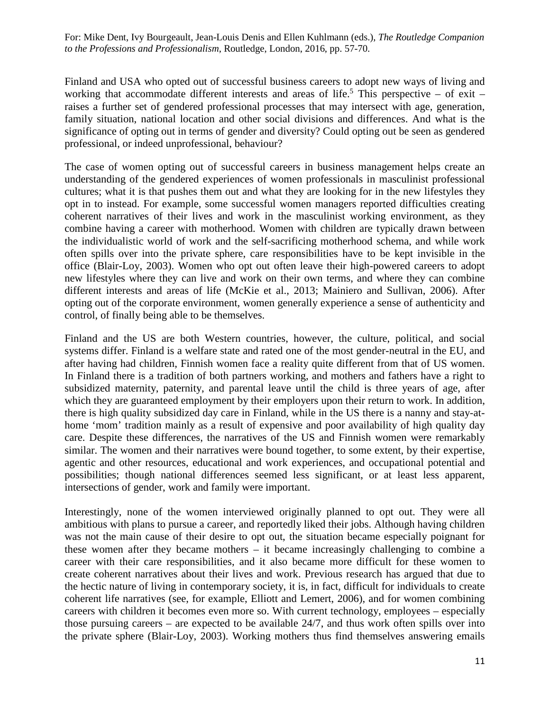Finland and USA who opted out of successful business careers to adopt new ways of living and working that accommodate different interests and areas of life.<sup>5</sup> This perspective – of exit – raises a further set of gendered professional processes that may intersect with age, generation, family situation, national location and other social divisions and differences. And what is the significance of opting out in terms of gender and diversity? Could opting out be seen as gendered professional, or indeed unprofessional, behaviour?

The case of women opting out of successful careers in business management helps create an understanding of the gendered experiences of women professionals in masculinist professional cultures; what it is that pushes them out and what they are looking for in the new lifestyles they opt in to instead. For example, some successful women managers reported difficulties creating coherent narratives of their lives and work in the masculinist working environment, as they combine having a career with motherhood. Women with children are typically drawn between the individualistic world of work and the self-sacrificing motherhood schema, and while work often spills over into the private sphere, care responsibilities have to be kept invisible in the office (Blair-Loy, 2003). Women who opt out often leave their high-powered careers to adopt new lifestyles where they can live and work on their own terms, and where they can combine different interests and areas of life (McKie et al., 2013; Mainiero and Sullivan, 2006). After opting out of the corporate environment, women generally experience a sense of authenticity and control, of finally being able to be themselves.

Finland and the US are both Western countries, however, the culture, political, and social systems differ. Finland is a welfare state and rated one of the most gender-neutral in the EU, and after having had children, Finnish women face a reality quite different from that of US women. In Finland there is a tradition of both partners working, and mothers and fathers have a right to subsidized maternity, paternity, and parental leave until the child is three years of age, after which they are guaranteed employment by their employers upon their return to work. In addition, there is high quality subsidized day care in Finland, while in the US there is a nanny and stay-athome 'mom' tradition mainly as a result of expensive and poor availability of high quality day care. Despite these differences, the narratives of the US and Finnish women were remarkably similar. The women and their narratives were bound together, to some extent, by their expertise, agentic and other resources, educational and work experiences, and occupational potential and possibilities; though national differences seemed less significant, or at least less apparent, intersections of gender, work and family were important.

Interestingly, none of the women interviewed originally planned to opt out. They were all ambitious with plans to pursue a career, and reportedly liked their jobs. Although having children was not the main cause of their desire to opt out, the situation became especially poignant for these women after they became mothers – it became increasingly challenging to combine a career with their care responsibilities, and it also became more difficult for these women to create coherent narratives about their lives and work. Previous research has argued that due to the hectic nature of living in contemporary society, it is, in fact, difficult for individuals to create coherent life narratives (see, for example, Elliott and Lemert, 2006), and for women combining careers with children it becomes even more so. With current technology, employees – especially those pursuing careers – are expected to be available 24/7, and thus work often spills over into the private sphere (Blair-Loy, 2003). Working mothers thus find themselves answering emails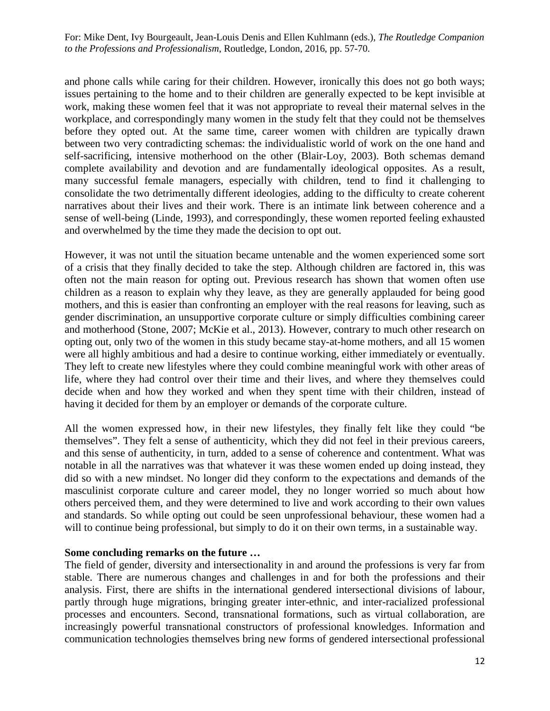and phone calls while caring for their children. However, ironically this does not go both ways; issues pertaining to the home and to their children are generally expected to be kept invisible at work, making these women feel that it was not appropriate to reveal their maternal selves in the workplace, and correspondingly many women in the study felt that they could not be themselves before they opted out. At the same time, career women with children are typically drawn between two very contradicting schemas: the individualistic world of work on the one hand and self-sacrificing, intensive motherhood on the other (Blair-Loy, 2003). Both schemas demand complete availability and devotion and are fundamentally ideological opposites. As a result, many successful female managers, especially with children, tend to find it challenging to consolidate the two detrimentally different ideologies, adding to the difficulty to create coherent narratives about their lives and their work. There is an intimate link between coherence and a sense of well-being (Linde, 1993), and correspondingly, these women reported feeling exhausted and overwhelmed by the time they made the decision to opt out.

However, it was not until the situation became untenable and the women experienced some sort of a crisis that they finally decided to take the step. Although children are factored in, this was often not the main reason for opting out. Previous research has shown that women often use children as a reason to explain why they leave, as they are generally applauded for being good mothers, and this is easier than confronting an employer with the real reasons for leaving, such as gender discrimination, an unsupportive corporate culture or simply difficulties combining career and motherhood (Stone, 2007; McKie et al., 2013). However, contrary to much other research on opting out, only two of the women in this study became stay-at-home mothers, and all 15 women were all highly ambitious and had a desire to continue working, either immediately or eventually. They left to create new lifestyles where they could combine meaningful work with other areas of life, where they had control over their time and their lives, and where they themselves could decide when and how they worked and when they spent time with their children, instead of having it decided for them by an employer or demands of the corporate culture.

All the women expressed how, in their new lifestyles, they finally felt like they could "be themselves". They felt a sense of authenticity, which they did not feel in their previous careers, and this sense of authenticity, in turn, added to a sense of coherence and contentment. What was notable in all the narratives was that whatever it was these women ended up doing instead, they did so with a new mindset. No longer did they conform to the expectations and demands of the masculinist corporate culture and career model, they no longer worried so much about how others perceived them, and they were determined to live and work according to their own values and standards. So while opting out could be seen unprofessional behaviour, these women had a will to continue being professional, but simply to do it on their own terms, in a sustainable way.

#### **Some concluding remarks on the future …**

The field of gender, diversity and intersectionality in and around the professions is very far from stable. There are numerous changes and challenges in and for both the professions and their analysis. First, there are shifts in the international gendered intersectional divisions of labour, partly through huge migrations, bringing greater inter-ethnic, and inter-racialized professional processes and encounters. Second, transnational formations, such as virtual collaboration, are increasingly powerful transnational constructors of professional knowledges. Information and communication technologies themselves bring new forms of gendered intersectional professional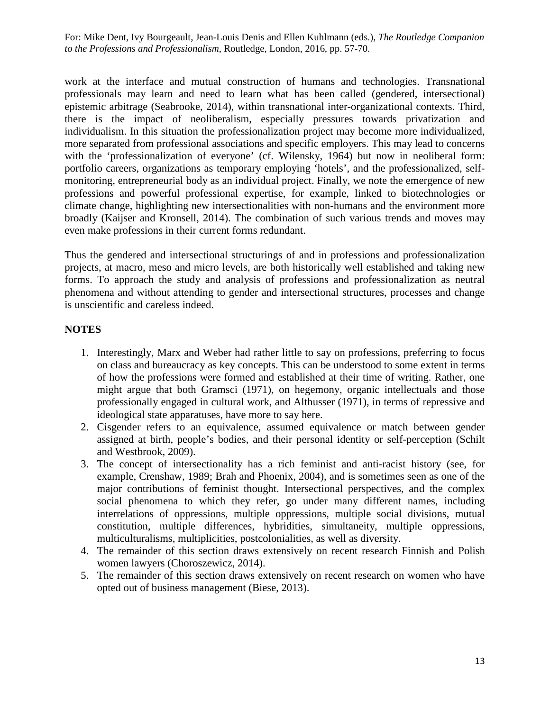work at the interface and mutual construction of humans and technologies. Transnational professionals may learn and need to learn what has been called (gendered, intersectional) epistemic arbitrage (Seabrooke, 2014), within transnational inter-organizational contexts. Third, there is the impact of neoliberalism, especially pressures towards privatization and individualism. In this situation the professionalization project may become more individualized, more separated from professional associations and specific employers. This may lead to concerns with the 'professionalization of everyone' (cf. Wilensky, 1964) but now in neoliberal form: portfolio careers, organizations as temporary employing 'hotels', and the professionalized, selfmonitoring, entrepreneurial body as an individual project. Finally, we note the emergence of new professions and powerful professional expertise, for example, linked to biotechnologies or climate change, highlighting new intersectionalities with non-humans and the environment more broadly (Kaijser and Kronsell, 2014). The combination of such various trends and moves may even make professions in their current forms redundant.

Thus the gendered and intersectional structurings of and in professions and professionalization projects, at macro, meso and micro levels, are both historically well established and taking new forms. To approach the study and analysis of professions and professionalization as neutral phenomena and without attending to gender and intersectional structures, processes and change is unscientific and careless indeed.

# **NOTES**

- 1. Interestingly, Marx and Weber had rather little to say on professions, preferring to focus on class and bureaucracy as key concepts. This can be understood to some extent in terms of how the professions were formed and established at their time of writing. Rather, one might argue that both Gramsci (1971), on hegemony, organic intellectuals and those professionally engaged in cultural work, and Althusser (1971), in terms of repressive and ideological state apparatuses, have more to say here.
- 2. Cisgender refers to an equivalence, assumed equivalence or match between gender assigned at birth, people's bodies, and their personal identity or self-perception (Schilt and Westbrook, 2009).
- 3. The concept of intersectionality has a rich feminist and anti-racist history (see, for example, Crenshaw, 1989; Brah and Phoenix, 2004), and is sometimes seen as one of the major contributions of feminist thought. Intersectional perspectives, and the complex social phenomena to which they refer, go under many different names, including interrelations of oppressions, multiple oppressions, multiple social divisions, mutual constitution, multiple differences, hybridities, simultaneity, multiple oppressions, multiculturalisms, multiplicities, postcolonialities, as well as diversity.
- 4. The remainder of this section draws extensively on recent research Finnish and Polish women lawyers (Choroszewicz, 2014).
- 5. The remainder of this section draws extensively on recent research on women who have opted out of business management (Biese, 2013).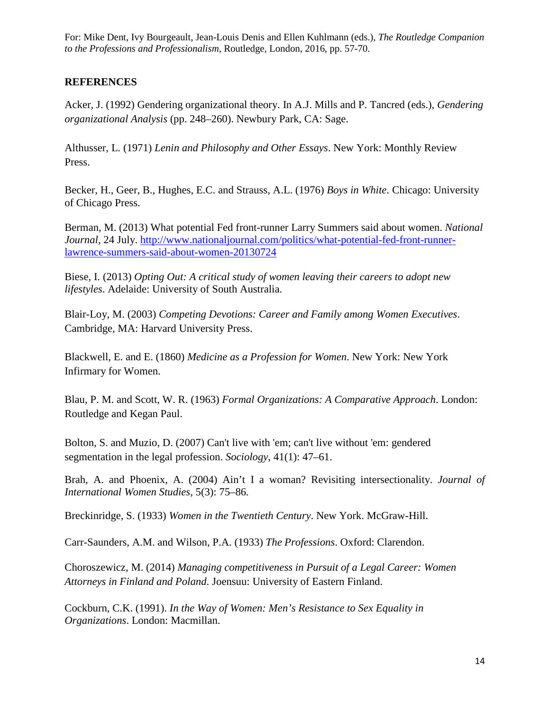# **REFERENCES**

Acker, J. (1992) Gendering organizational theory. In A.J. Mills and P. Tancred (eds.), *Gendering organizational Analysis* (pp. 248–260). Newbury Park, CA: Sage.

Althusser, L. (1971) *Lenin and Philosophy and Other Essays*. New York: Monthly Review Press.

Becker, H., Geer, B., Hughes, E.C. and Strauss, A.L. (1976) *Boys in White*. Chicago: University of Chicago Press.

Berman, M. (2013) What potential Fed front-runner Larry Summers said about women. *National Journal*, 24 July. [http://www.nationaljournal.com/politics/what-potential-fed-front-runner](http://www.nationaljournal.com/politics/what-potential-fed-front-runner-lawrence-summers-said-about-women-20130724)[lawrence-summers-said-about-women-20130724](http://www.nationaljournal.com/politics/what-potential-fed-front-runner-lawrence-summers-said-about-women-20130724)

Biese, I. (2013) *Opting Out: A critical study of women leaving their careers to adopt new lifestyles*. Adelaide: University of South Australia.

Blair-Loy, M. (2003) *Competing Devotions: Career and Family among Women Executives*. Cambridge, MA: Harvard University Press.

Blackwell, E. and E. (1860) *Medicine as a Profession for Women*. New York: New York Infirmary for Women.

Blau, P. M. and Scott, W. R. (1963) *Formal Organizations: A Comparative Approach*. London: Routledge and Kegan Paul.

Bolton, S. and Muzio, D. (2007) Can't live with 'em; can't live without 'em: gendered segmentation in the legal profession. *Sociology*, 41(1): 47–61.

Brah, A. and Phoenix, A. (2004) Ain't I a woman? Revisiting intersectionality. *Journal of International Women Studies*, 5(3): 75*–*86*.*

Breckinridge, S. (1933) *Women in the Twentieth Century*. New York. McGraw-Hill.

Carr-Saunders, A.M. and Wilson, P.A. (1933) *The Professions*. Oxford: Clarendon.

Choroszewicz, M. (2014) *Managing competitiveness in Pursuit of a Legal Career: Women Attorneys in Finland and Poland*. Joensuu: University of Eastern Finland.

Cockburn, C.K. (1991). *In the Way of Women: Men's Resistance to Sex Equality in Organizations*. London: Macmillan.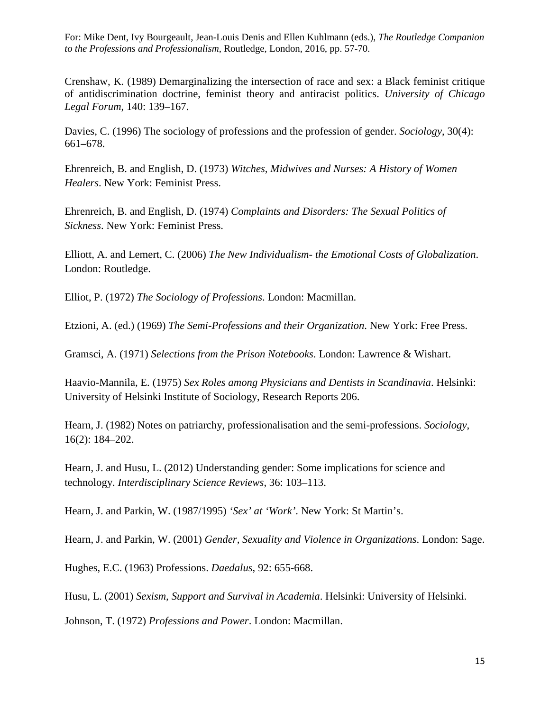Crenshaw, K. (1989) Demarginalizing the intersection of race and sex: a Black feminist critique of antidiscrimination doctrine, feminist theory and antiracist politics. *University of Chicago Legal Forum*, 140: 139–167.

Davies, C. (1996) The sociology of professions and the profession of gender. *Sociology*, 30(4): 661**–**678.

Ehrenreich, B. and English, D. (1973) *Witches, Midwives and Nurses: A History of Women Healers*. New York: Feminist Press.

Ehrenreich, B. and English, D. (1974) *Complaints and Disorders: The Sexual Politics of Sickness*. New York: Feminist Press.

Elliott, A. and Lemert, C. (2006) *The New Individualism- the Emotional Costs of Globalization*. London: Routledge.

Elliot, P. (1972) *The Sociology of Professions*. London: Macmillan.

Etzioni, A. (ed.) (1969) *The Semi-Professions and their Organization*. New York: Free Press.

Gramsci, A. (1971) *Selections from the Prison Notebooks*. London: Lawrence & Wishart.

Haavio-Mannila, E. (1975) *Sex Roles among Physicians and Dentists in Scandinavia*. Helsinki: University of Helsinki Institute of Sociology, Research Reports 206.

Hearn, J. (1982) Notes on patriarchy, professionalisation and the semi-professions. *Sociology*, 16(2): 184–202.

Hearn, J. and Husu, L. (2012) Understanding gender: Some implications for science and technology. *Interdisciplinary Science Reviews*, 36: 103–113.

Hearn, J. and Parkin, W. (1987/1995) *'Sex' at 'Work'*. New York: St Martin's.

Hearn, J. and Parkin, W. (2001) *Gender, Sexuality and Violence in Organizations*. London: Sage.

Hughes, E.C. (1963) Professions. *Daedalus*, 92: 655-668.

Husu, L. (2001) *Sexism, Support and Survival in Academia*. Helsinki: University of Helsinki.

Johnson, T. (1972) *Professions and Power*. London: Macmillan.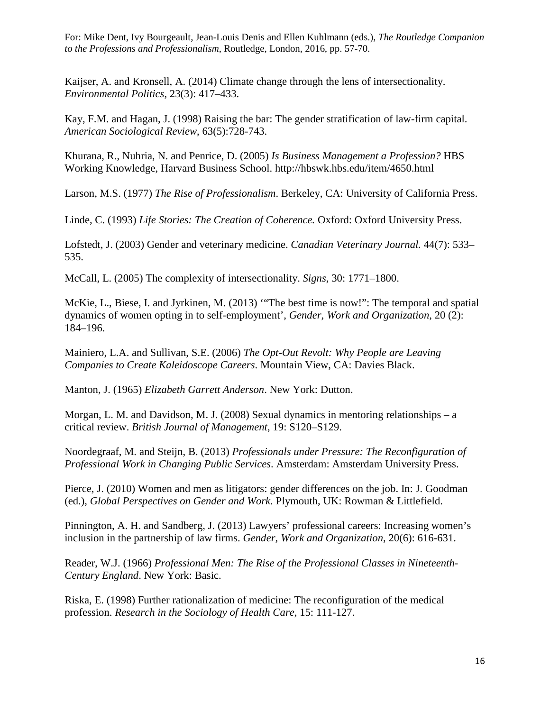Kaijser, A. and Kronsell, A. (2014) Climate change through the lens of intersectionality. *Environmental Politics*, 23(3): 417–433.

Kay, F.M. and Hagan, J. (1998) Raising the bar: The gender stratification of law-firm capital. *American Sociological Review*, 63(5):728-743.

Khurana, R., Nuhria, N. and Penrice, D. (2005) *Is Business Management a Profession?* HBS Working Knowledge, Harvard Business School.<http://hbswk.hbs.edu/item/4650.html>

Larson, M.S. (1977) *The Rise of Professionalism*. Berkeley, CA: University of California Press.

Linde, C. (1993) *Life Stories: The Creation of Coherence.* Oxford: Oxford University Press.

Lofstedt, J. (2003) Gender and veterinary medicine. *Canadian Veterinary Journal.* 44(7): 533– 535.

McCall, L. (2005) The complexity of intersectionality. *Signs*, 30: 1771–1800.

McKie, L., Biese, I. and Jyrkinen, M. (2013) '"The best time is now!": The temporal and spatial dynamics of women opting in to self-employment', *Gender, Work and Organization*, 20 (2): 184–196.

Mainiero, L.A. and Sullivan, S.E. (2006) *The Opt-Out Revolt: Why People are Leaving Companies to Create Kaleidoscope Careers*. Mountain View, CA: Davies Black.

Manton, J. (1965) *Elizabeth Garrett Anderson*. New York: Dutton.

Morgan, L. M. and Davidson, M. J. (2008) Sexual dynamics in mentoring relationships – a critical review. *British Journal of Management*, 19: S120–S129.

Noordegraaf, M. and Steijn, B. (2013) *Professionals under Pressure: The Reconfiguration of Professional Work in Changing Public Services*. Amsterdam: Amsterdam University Press.

Pierce, J. (2010) Women and men as litigators: gender differences on the job. In: J. Goodman (ed.), *Global Perspectives on Gender and Work*. Plymouth, UK: Rowman & Littlefield.

Pinnington, A. H. and Sandberg, J. (2013) Lawyers' professional careers: Increasing women's inclusion in the partnership of law firms. *Gender, Work and Organization*, 20(6): 616-631.

Reader, W.J. (1966) *Professional Men: The Rise of the Professional Classes in Nineteenth-Century England*. New York: Basic.

Riska, E. (1998) Further rationalization of medicine: The reconfiguration of the medical profession. *Research in the Sociology of Health Care*, 15: 111-127.